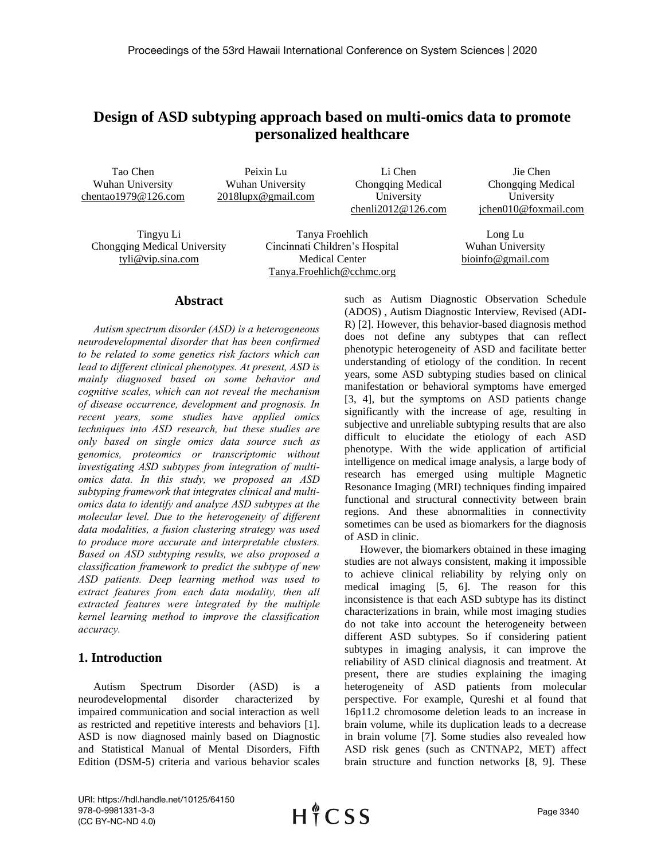# **Design of ASD subtyping approach based on multi-omics data to promote personalized healthcare**

Tao Chen Wuhan University chentao1979@126.com

Peixin Lu Wuhan University 2018lupx@gmail.com

Li Chen Chongqing Medical University chenli2012@126.com

Jie Chen Chongqing Medical University jchen010@foxmail.com

Tingyu Li Chongqing Medical University tyli@vip.sina.com

Tanya Froehlich Cincinnati Children's Hospital Medical Center Tanya.Froehlich@cchmc.org

Long Lu Wuhan University bioinfo@gmail.com

#### **Abstract**

*Autism spectrum disorder (ASD) is a heterogeneous neurodevelopmental disorder that has been confirmed to be related to some genetics risk factors which can lead to different clinical phenotypes. At present, ASD is mainly diagnosed based on some behavior and cognitive scales, which can not reveal the mechanism of disease occurrence, development and prognosis. In recent years, some studies have applied omics techniques into ASD research, but these studies are only based on single omics data source such as genomics, proteomics or transcriptomic without investigating ASD subtypes from integration of multiomics data. In this study, we proposed an ASD subtyping framework that integrates clinical and multiomics data to identify and analyze ASD subtypes at the molecular level. Due to the heterogeneity of different data modalities, a fusion clustering strategy was used to produce more accurate and interpretable clusters. Based on ASD subtyping results, we also proposed a classification framework to predict the subtype of new ASD patients. Deep learning method was used to extract features from each data modality, then all extracted features were integrated by the multiple kernel learning method to improve the classification accuracy.*

### **1. Introduction**

Autism Spectrum Disorder (ASD) is a neurodevelopmental disorder characterized by impaired communication and social interaction as well as restricted and repetitive interests and behaviors [1]. ASD is now diagnosed mainly based on Diagnostic and Statistical Manual of Mental Disorders, Fifth Edition (DSM-5) criteria and various behavior scales such as Autism Diagnostic Observation Schedule (ADOS) , Autism Diagnostic Interview, Revised (ADI-R) [2]. However, this behavior-based diagnosis method does not define any subtypes that can reflect phenotypic heterogeneity of ASD and facilitate better understanding of etiology of the condition. In recent years, some ASD subtyping studies based on clinical manifestation or behavioral symptoms have emerged [3, 4], but the symptoms on ASD patients change significantly with the increase of age, resulting in subjective and unreliable subtyping results that are also difficult to elucidate the etiology of each ASD phenotype. With the wide application of artificial intelligence on medical image analysis, a large body of research has emerged using multiple Magnetic Resonance Imaging (MRI) techniques finding impaired functional and structural connectivity between brain regions. And these abnormalities in connectivity sometimes can be used as biomarkers for the diagnosis of ASD in clinic.

However, the biomarkers obtained in these imaging studies are not always consistent, making it impossible to achieve clinical reliability by relying only on medical imaging [5, 6]. The reason for this inconsistence is that each ASD subtype has its distinct characterizations in brain, while most imaging studies do not take into account the heterogeneity between different ASD subtypes. So if considering patient subtypes in imaging analysis, it can improve the reliability of ASD clinical diagnosis and treatment. At present, there are studies explaining the imaging heterogeneity of ASD patients from molecular perspective. For example, Qureshi et al found that 16p11.2 chromosome deletion leads to an increase in brain volume, while its duplication leads to a decrease in brain volume [7]. Some studies also revealed how ASD risk genes (such as CNTNAP2, MET) affect brain structure and function networks [8, 9]. These

URI: https://hdl.handle.net/10125/64150 978-0-9981331-3-3 (CC BY-NC-ND 4.0)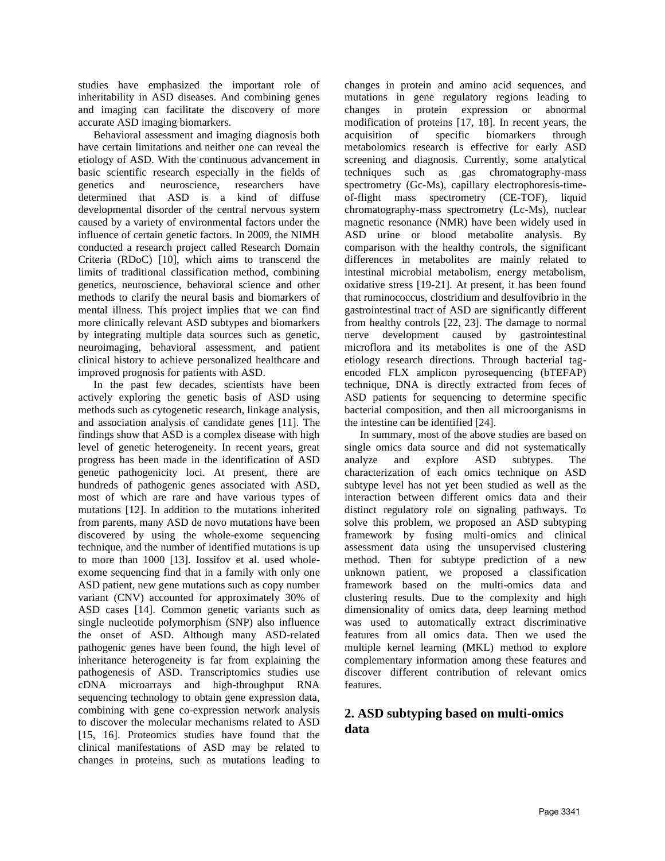studies have emphasized the important role of inheritability in ASD diseases. And combining genes and imaging can facilitate the discovery of more accurate ASD imaging biomarkers.

Behavioral assessment and imaging diagnosis both have certain limitations and neither one can reveal the etiology of ASD. With the continuous advancement in basic scientific research especially in the fields of genetics and neuroscience, researchers have determined that ASD is a kind of diffuse developmental disorder of the central nervous system caused by a variety of environmental factors under the influence of certain genetic factors. In 2009, the NIMH conducted a research project called Research Domain Criteria (RDoC) [10], which aims to transcend the limits of traditional classification method, combining genetics, neuroscience, behavioral science and other methods to clarify the neural basis and biomarkers of mental illness. This project implies that we can find more clinically relevant ASD subtypes and biomarkers by integrating multiple data sources such as genetic, neuroimaging, behavioral assessment, and patient clinical history to achieve personalized healthcare and improved prognosis for patients with ASD.

In the past few decades, scientists have been actively exploring the genetic basis of ASD using methods such as cytogenetic research, linkage analysis, and association analysis of candidate genes [11]. The findings show that ASD is a complex disease with high level of genetic heterogeneity. In recent years, great progress has been made in the identification of ASD genetic pathogenicity loci. At present, there are hundreds of pathogenic genes associated with ASD, most of which are rare and have various types of mutations [12]. In addition to the mutations inherited from parents, many ASD de novo mutations have been discovered by using the whole-exome sequencing technique, and the number of identified mutations is up to more than 1000 [13]. Iossifov et al. used wholeexome sequencing find that in a family with only one ASD patient, new gene mutations such as copy number variant (CNV) accounted for approximately 30% of ASD cases [14]. Common genetic variants such as single nucleotide polymorphism (SNP) also influence the onset of ASD. Although many ASD-related pathogenic genes have been found, the high level of inheritance heterogeneity is far from explaining the pathogenesis of ASD. Transcriptomics studies use cDNA microarrays and high-throughput RNA sequencing technology to obtain gene expression data, combining with gene co-expression network analysis to discover the molecular mechanisms related to ASD [15, 16]. Proteomics studies have found that the clinical manifestations of ASD may be related to changes in proteins, such as mutations leading to changes in protein and amino acid sequences, and mutations in gene regulatory regions leading to changes in protein expression or abnormal modification of proteins [17, 18]. In recent years, the acquisition of specific biomarkers through metabolomics research is effective for early ASD screening and diagnosis. Currently, some analytical techniques such as gas chromatography-mass spectrometry (Gc-Ms), capillary electrophoresis-timeof-flight mass spectrometry (CE-TOF), liquid chromatography-mass spectrometry (Lc-Ms), nuclear magnetic resonance (NMR) have been widely used in ASD urine or blood metabolite analysis. By comparison with the healthy controls, the significant differences in metabolites are mainly related to intestinal microbial metabolism, energy metabolism, oxidative stress [19-21]. At present, it has been found that ruminococcus, clostridium and desulfovibrio in the gastrointestinal tract of ASD are significantly different from healthy controls [22, 23]. The damage to normal nerve development caused by gastrointestinal microflora and its metabolites is one of the ASD etiology research directions. Through bacterial tagencoded FLX amplicon pyrosequencing (bTEFAP) technique, DNA is directly extracted from feces of ASD patients for sequencing to determine specific bacterial composition, and then all microorganisms in the intestine can be identified [24].

In summary, most of the above studies are based on single omics data source and did not systematically analyze and explore ASD subtypes. The characterization of each omics technique on ASD subtype level has not yet been studied as well as the interaction between different omics data and their distinct regulatory role on signaling pathways. To solve this problem, we proposed an ASD subtyping framework by fusing multi-omics and clinical assessment data using the unsupervised clustering method. Then for subtype prediction of a new unknown patient, we proposed a classification framework based on the multi-omics data and clustering results. Due to the complexity and high dimensionality of omics data, deep learning method was used to automatically extract discriminative features from all omics data. Then we used the multiple kernel learning (MKL) method to explore complementary information among these features and discover different contribution of relevant omics features.

# **2. ASD subtyping based on multi-omics data**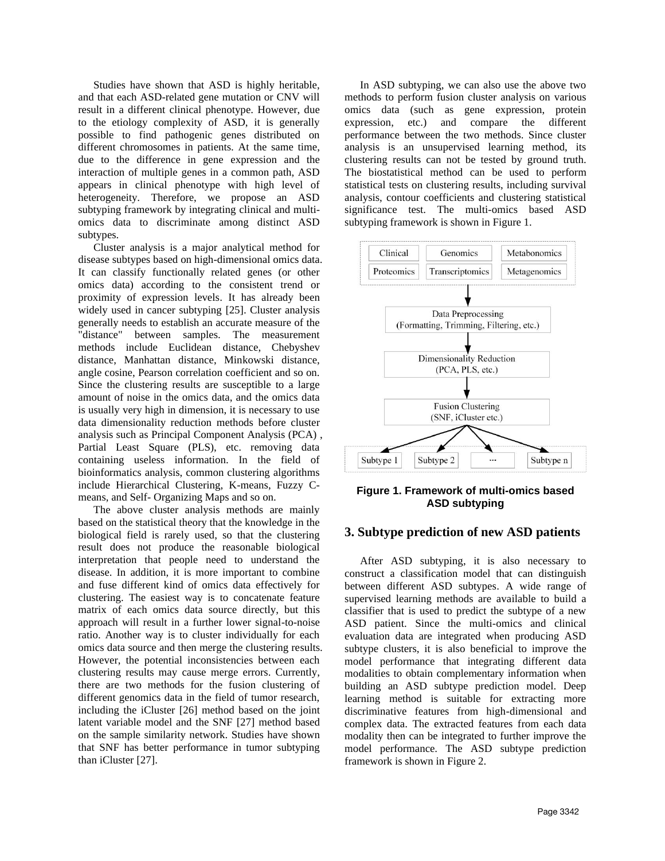Studies have shown that ASD is highly heritable, and that each ASD-related gene mutation or CNV will result in a different clinical phenotype. However, due to the etiology complexity of ASD, it is generally possible to find pathogenic genes distributed on different chromosomes in patients. At the same time, due to the difference in gene expression and the interaction of multiple genes in a common path, ASD appears in clinical phenotype with high level of heterogeneity. Therefore, we propose an ASD subtyping framework by integrating clinical and multiomics data to discriminate among distinct ASD subtypes.

Cluster analysis is a major analytical method for disease subtypes based on high-dimensional omics data. It can classify functionally related genes (or other omics data) according to the consistent trend or proximity of expression levels. It has already been widely used in cancer subtyping [25]. Cluster analysis generally needs to establish an accurate measure of the "distance" between samples. The measurement methods include Euclidean distance, Chebyshev distance, Manhattan distance, Minkowski distance, angle cosine, Pearson correlation coefficient and so on. Since the clustering results are susceptible to a large amount of noise in the omics data, and the omics data is usually very high in dimension, it is necessary to use data dimensionality reduction methods before cluster analysis such as Principal Component Analysis (PCA) , Partial Least Square (PLS), etc. removing data containing useless information. In the field of bioinformatics analysis, common clustering algorithms include Hierarchical Clustering, K-means, Fuzzy Cmeans, and Self- Organizing Maps and so on.

The above cluster analysis methods are mainly based on the statistical theory that the knowledge in the biological field is rarely used, so that the clustering result does not produce the reasonable biological interpretation that people need to understand the disease. In addition, it is more important to combine and fuse different kind of omics data effectively for clustering. The easiest way is to concatenate feature matrix of each omics data source directly, but this approach will result in a further lower signal-to-noise ratio. Another way is to cluster individually for each omics data source and then merge the clustering results. However, the potential inconsistencies between each clustering results may cause merge errors. Currently, there are two methods for the fusion clustering of different genomics data in the field of tumor research, including the iCluster [26] method based on the joint latent variable model and the SNF [27] method based on the sample similarity network. Studies have shown that SNF has better performance in tumor subtyping than iCluster [27].

In ASD subtyping, we can also use the above two methods to perform fusion cluster analysis on various omics data (such as gene expression, protein expression, etc.) and compare the different performance between the two methods. Since cluster analysis is an unsupervised learning method, its clustering results can not be tested by ground truth. The biostatistical method can be used to perform statistical tests on clustering results, including survival analysis, contour coefficients and clustering statistical significance test. The multi-omics based ASD subtyping framework is shown in Figure 1.



**Figure 1. Framework of multi-omics based ASD subtyping**

### **3. Subtype prediction of new ASD patients**

After ASD subtyping, it is also necessary to construct a classification model that can distinguish between different ASD subtypes. A wide range of supervised learning methods are available to build a classifier that is used to predict the subtype of a new ASD patient. Since the multi-omics and clinical evaluation data are integrated when producing ASD subtype clusters, it is also beneficial to improve the model performance that integrating different data modalities to obtain complementary information when building an ASD subtype prediction model. Deep learning method is suitable for extracting more discriminative features from high-dimensional and complex data. The extracted features from each data modality then can be integrated to further improve the model performance. The ASD subtype prediction framework is shown in Figure 2.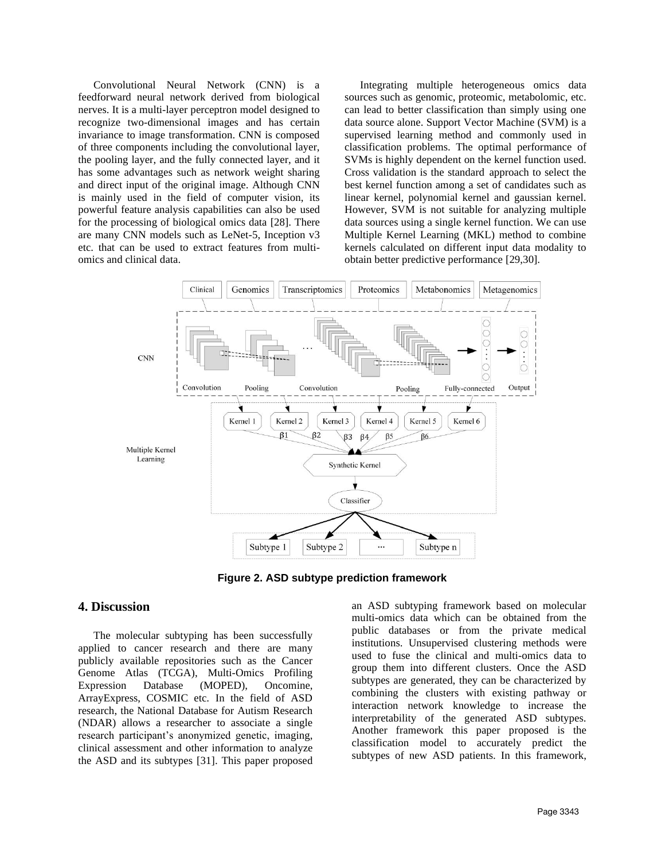Convolutional Neural Network (CNN) is a feedforward neural network derived from biological nerves. It is a multi-layer perceptron model designed to recognize two-dimensional images and has certain invariance to image transformation. CNN is composed of three components including the convolutional layer, the pooling layer, and the fully connected layer, and it has some advantages such as network weight sharing and direct input of the original image. Although CNN is mainly used in the field of computer vision, its powerful feature analysis capabilities can also be used for the processing of biological omics data [28]. There are many CNN models such as LeNet-5, Inception v3 etc. that can be used to extract features from multiomics and clinical data.

Integrating multiple heterogeneous omics data sources such as genomic, proteomic, metabolomic, etc. can lead to better classification than simply using one data source alone. Support Vector Machine (SVM) is a supervised learning method and commonly used in classification problems. The optimal performance of SVMs is highly dependent on the kernel function used. Cross validation is the standard approach to select the best kernel function among a set of candidates such as linear kernel, polynomial kernel and gaussian kernel. However, SVM is not suitable for analyzing multiple data sources using a single kernel function. We can use Multiple Kernel Learning (MKL) method to combine kernels calculated on different input data modality to obtain better predictive performance [29,30].



**Figure 2. ASD subtype prediction framework**

### **4. Discussion**

The molecular subtyping has been successfully applied to cancer research and there are many publicly available repositories such as the Cancer Genome Atlas (TCGA), Multi-Omics Profiling Expression Database (MOPED), Oncomine, ArrayExpress, COSMIC etc. In the field of ASD research, the National Database for Autism Research (NDAR) allows a researcher to associate a single research participant's anonymized genetic, imaging, clinical assessment and other information to analyze the ASD and its subtypes [31]. This paper proposed an ASD subtyping framework based on molecular multi-omics data which can be obtained from the public databases or from the private medical institutions. Unsupervised clustering methods were used to fuse the clinical and multi-omics data to group them into different clusters. Once the ASD subtypes are generated, they can be characterized by combining the clusters with existing pathway or interaction network knowledge to increase the interpretability of the generated ASD subtypes. Another framework this paper proposed is the classification model to accurately predict the subtypes of new ASD patients. In this framework,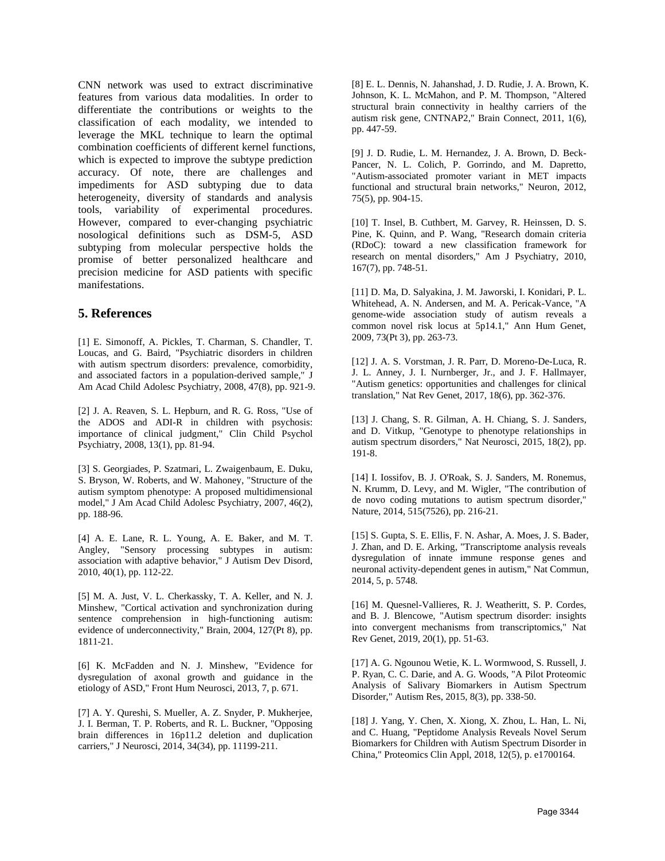CNN network was used to extract discriminative features from various data modalities. In order to differentiate the contributions or weights to the classification of each modality, we intended to leverage the MKL technique to learn the optimal combination coefficients of different kernel functions, which is expected to improve the subtype prediction accuracy. Of note, there are challenges and impediments for ASD subtyping due to data heterogeneity, diversity of standards and analysis tools, variability of experimental procedures. However, compared to ever-changing psychiatric nosological definitions such as DSM-5, ASD subtyping from molecular perspective holds the promise of better personalized healthcare and precision medicine for ASD patients with specific manifestations.

## **5. References**

[1] E. Simonoff, A. Pickles, T. Charman, S. Chandler, T. Loucas, and G. Baird, "Psychiatric disorders in children with autism spectrum disorders: prevalence, comorbidity, and associated factors in a population-derived sample," J Am Acad Child Adolesc Psychiatry, 2008, 47(8), pp. 921-9.

[2] J. A. Reaven, S. L. Hepburn, and R. G. Ross, "Use of the ADOS and ADI-R in children with psychosis: importance of clinical judgment," Clin Child Psychol Psychiatry, 2008, 13(1), pp. 81-94.

[3] S. Georgiades, P. Szatmari, L. Zwaigenbaum, E. Duku, S. Bryson, W. Roberts, and W. Mahoney, "Structure of the autism symptom phenotype: A proposed multidimensional model," J Am Acad Child Adolesc Psychiatry, 2007, 46(2), pp. 188-96.

[4] A. E. Lane, R. L. Young, A. E. Baker, and M. T. Angley, "Sensory processing subtypes in autism: association with adaptive behavior," J Autism Dev Disord, 2010, 40(1), pp. 112-22.

[5] M. A. Just, V. L. Cherkassky, T. A. Keller, and N. J. Minshew, "Cortical activation and synchronization during sentence comprehension in high-functioning autism: evidence of underconnectivity," Brain, 2004, 127(Pt 8), pp. 1811-21.

[6] K. McFadden and N. J. Minshew, "Evidence for dysregulation of axonal growth and guidance in the etiology of ASD," Front Hum Neurosci, 2013, 7, p. 671.

[7] A. Y. Qureshi, S. Mueller, A. Z. Snyder, P. Mukherjee, J. I. Berman, T. P. Roberts, and R. L. Buckner, "Opposing brain differences in 16p11.2 deletion and duplication carriers," J Neurosci, 2014, 34(34), pp. 11199-211.

[8] E. L. Dennis, N. Jahanshad, J. D. Rudie, J. A. Brown, K. Johnson, K. L. McMahon, and P. M. Thompson, "Altered structural brain connectivity in healthy carriers of the autism risk gene, CNTNAP2," Brain Connect, 2011, 1(6), pp. 447-59.

[9] J. D. Rudie, L. M. Hernandez, J. A. Brown, D. Beck-Pancer, N. L. Colich, P. Gorrindo, and M. Dapretto, "Autism-associated promoter variant in MET impacts functional and structural brain networks," Neuron, 2012, 75(5), pp. 904-15.

[10] T. Insel, B. Cuthbert, M. Garvey, R. Heinssen, D. S. Pine, K. Quinn, and P. Wang, "Research domain criteria (RDoC): toward a new classification framework for research on mental disorders," Am J Psychiatry, 2010, 167(7), pp. 748-51.

[11] D. Ma, D. Salyakina, J. M. Jaworski, I. Konidari, P. L. Whitehead, A. N. Andersen, and M. A. Pericak-Vance, "A genome-wide association study of autism reveals a common novel risk locus at 5p14.1," Ann Hum Genet, 2009, 73(Pt 3), pp. 263-73.

[12] J. A. S. Vorstman, J. R. Parr, D. Moreno-De-Luca, R. J. L. Anney, J. I. Nurnberger, Jr., and J. F. Hallmayer, "Autism genetics: opportunities and challenges for clinical translation," Nat Rev Genet, 2017, 18(6), pp. 362-376.

[13] J. Chang, S. R. Gilman, A. H. Chiang, S. J. Sanders, and D. Vitkup, "Genotype to phenotype relationships in autism spectrum disorders," Nat Neurosci, 2015, 18(2), pp. 191-8.

[14] I. Iossifov, B. J. O'Roak, S. J. Sanders, M. Ronemus, N. Krumm, D. Levy, and M. Wigler, "The contribution of de novo coding mutations to autism spectrum disorder," Nature, 2014, 515(7526), pp. 216-21.

[15] S. Gupta, S. E. Ellis, F. N. Ashar, A. Moes, J. S. Bader, J. Zhan, and D. E. Arking, "Transcriptome analysis reveals dysregulation of innate immune response genes and neuronal activity-dependent genes in autism," Nat Commun, 2014, 5, p. 5748.

[16] M. Quesnel-Vallieres, R. J. Weatheritt, S. P. Cordes, and B. J. Blencowe, "Autism spectrum disorder: insights into convergent mechanisms from transcriptomics," Nat Rev Genet, 2019, 20(1), pp. 51-63.

[17] A. G. Ngounou Wetie, K. L. Wormwood, S. Russell, J. P. Ryan, C. C. Darie, and A. G. Woods, "A Pilot Proteomic Analysis of Salivary Biomarkers in Autism Spectrum Disorder," Autism Res, 2015, 8(3), pp. 338-50.

[18] J. Yang, Y. Chen, X. Xiong, X. Zhou, L. Han, L. Ni, and C. Huang, "Peptidome Analysis Reveals Novel Serum Biomarkers for Children with Autism Spectrum Disorder in China," Proteomics Clin Appl, 2018, 12(5), p. e1700164.